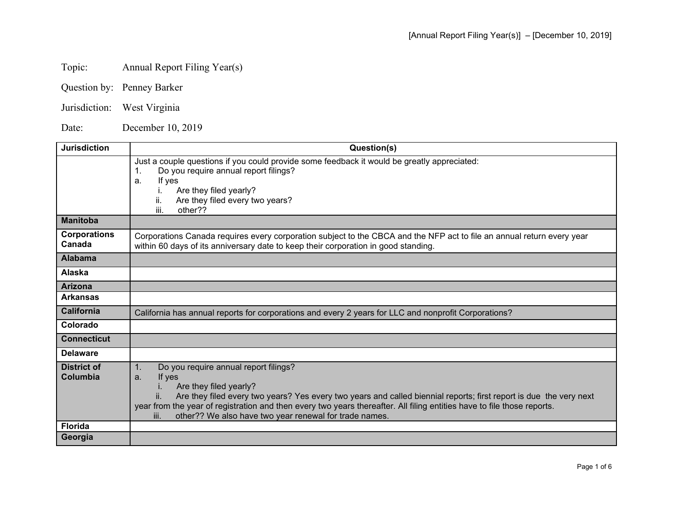# Topic: Annual Report Filing Year(s)

- Question by: Penney Barker
- Jurisdiction: West Virginia

Date: December 10, 2019

| <b>Jurisdiction</b>            | Question(s)                                                                                                                                                                                                                                                                                                                                                                                                     |
|--------------------------------|-----------------------------------------------------------------------------------------------------------------------------------------------------------------------------------------------------------------------------------------------------------------------------------------------------------------------------------------------------------------------------------------------------------------|
|                                | Just a couple questions if you could provide some feedback it would be greatly appreciated:<br>Do you require annual report filings?<br>If yes<br>a.<br>Are they filed yearly?<br>Are they filed every two years?<br>II.<br>iii.<br>other??                                                                                                                                                                     |
| <b>Manitoba</b>                |                                                                                                                                                                                                                                                                                                                                                                                                                 |
| <b>Corporations</b><br>Canada  | Corporations Canada requires every corporation subject to the CBCA and the NFP act to file an annual return every year<br>within 60 days of its anniversary date to keep their corporation in good standing.                                                                                                                                                                                                    |
| <b>Alabama</b>                 |                                                                                                                                                                                                                                                                                                                                                                                                                 |
| Alaska                         |                                                                                                                                                                                                                                                                                                                                                                                                                 |
| <b>Arizona</b>                 |                                                                                                                                                                                                                                                                                                                                                                                                                 |
| <b>Arkansas</b>                |                                                                                                                                                                                                                                                                                                                                                                                                                 |
| <b>California</b>              | California has annual reports for corporations and every 2 years for LLC and nonprofit Corporations?                                                                                                                                                                                                                                                                                                            |
| Colorado                       |                                                                                                                                                                                                                                                                                                                                                                                                                 |
| <b>Connecticut</b>             |                                                                                                                                                                                                                                                                                                                                                                                                                 |
| <b>Delaware</b>                |                                                                                                                                                                                                                                                                                                                                                                                                                 |
| <b>District of</b><br>Columbia | Do you require annual report filings?<br>1.<br>If yes<br>a.<br>Are they filed yearly?<br>Are they filed every two years? Yes every two years and called biennial reports; first report is due the very next<br>ii.<br>year from the year of registration and then every two years thereafter. All filing entities have to file those reports.<br>other?? We also have two year renewal for trade names.<br>iii. |
| <b>Florida</b>                 |                                                                                                                                                                                                                                                                                                                                                                                                                 |
| Georgia                        |                                                                                                                                                                                                                                                                                                                                                                                                                 |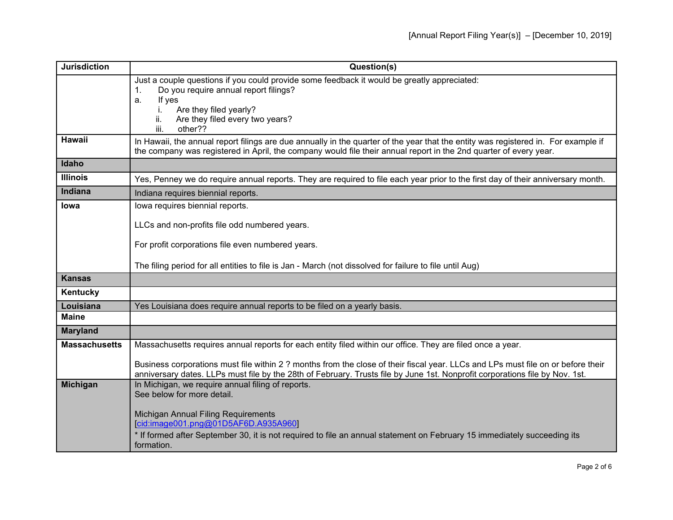| <b>Jurisdiction</b>  | Question(s)                                                                                                                                                                                                                                             |
|----------------------|---------------------------------------------------------------------------------------------------------------------------------------------------------------------------------------------------------------------------------------------------------|
|                      | Just a couple questions if you could provide some feedback it would be greatly appreciated:<br>Do you require annual report filings?<br>1.                                                                                                              |
|                      | If yes<br>a.                                                                                                                                                                                                                                            |
|                      | Are they filed yearly?<br>L.                                                                                                                                                                                                                            |
|                      | Are they filed every two years?<br>ii.                                                                                                                                                                                                                  |
|                      | iii.<br>other??                                                                                                                                                                                                                                         |
| Hawaii               | In Hawaii, the annual report filings are due annually in the quarter of the year that the entity was registered in. For example if<br>the company was registered in April, the company would file their annual report in the 2nd quarter of every year. |
| Idaho                |                                                                                                                                                                                                                                                         |
| <b>Illinois</b>      | Yes, Penney we do require annual reports. They are required to file each year prior to the first day of their anniversary month.                                                                                                                        |
| <b>Indiana</b>       | Indiana requires biennial reports.                                                                                                                                                                                                                      |
| Iowa                 | lowa requires biennial reports.                                                                                                                                                                                                                         |
|                      | LLCs and non-profits file odd numbered years.                                                                                                                                                                                                           |
|                      |                                                                                                                                                                                                                                                         |
|                      | For profit corporations file even numbered years.                                                                                                                                                                                                       |
|                      | The filing period for all entities to file is Jan - March (not dissolved for failure to file until Aug)                                                                                                                                                 |
| <b>Kansas</b>        |                                                                                                                                                                                                                                                         |
| Kentucky             |                                                                                                                                                                                                                                                         |
| Louisiana            | Yes Louisiana does require annual reports to be filed on a yearly basis.                                                                                                                                                                                |
| <b>Maine</b>         |                                                                                                                                                                                                                                                         |
| <b>Maryland</b>      |                                                                                                                                                                                                                                                         |
| <b>Massachusetts</b> | Massachusetts requires annual reports for each entity filed within our office. They are filed once a year.                                                                                                                                              |
|                      | Business corporations must file within 2 ? months from the close of their fiscal year. LLCs and LPs must file on or before their                                                                                                                        |
|                      | anniversary dates. LLPs must file by the 28th of February. Trusts file by June 1st. Nonprofit corporations file by Nov. 1st.                                                                                                                            |
| <b>Michigan</b>      | In Michigan, we require annual filing of reports.                                                                                                                                                                                                       |
|                      | See below for more detail.                                                                                                                                                                                                                              |
|                      | Michigan Annual Filing Requirements                                                                                                                                                                                                                     |
|                      | cid:image001.png@01D5AF6D.A935A960                                                                                                                                                                                                                      |
|                      | * If formed after September 30, it is not required to file an annual statement on February 15 immediately succeeding its<br>formation.                                                                                                                  |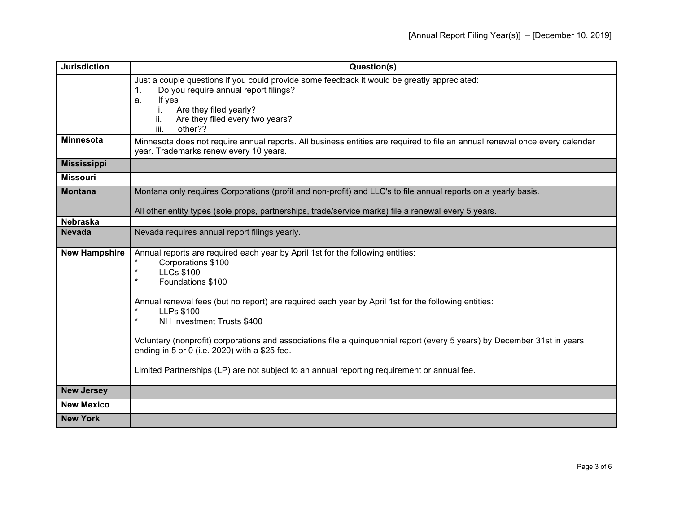| <b>Jurisdiction</b>  | Question(s)                                                                                                                                                                                                                                                                                                                                                                                                                                                                                                                                                                                                                    |
|----------------------|--------------------------------------------------------------------------------------------------------------------------------------------------------------------------------------------------------------------------------------------------------------------------------------------------------------------------------------------------------------------------------------------------------------------------------------------------------------------------------------------------------------------------------------------------------------------------------------------------------------------------------|
|                      | Just a couple questions if you could provide some feedback it would be greatly appreciated:<br>Do you require annual report filings?<br>$\mathbf{1}$ .<br>If yes<br>a.<br>Are they filed yearly?<br>İ.<br>ii.<br>Are they filed every two years?<br>iii.<br>other??                                                                                                                                                                                                                                                                                                                                                            |
| <b>Minnesota</b>     | Minnesota does not require annual reports. All business entities are required to file an annual renewal once every calendar<br>year. Trademarks renew every 10 years.                                                                                                                                                                                                                                                                                                                                                                                                                                                          |
| <b>Mississippi</b>   |                                                                                                                                                                                                                                                                                                                                                                                                                                                                                                                                                                                                                                |
| <b>Missouri</b>      |                                                                                                                                                                                                                                                                                                                                                                                                                                                                                                                                                                                                                                |
| <b>Montana</b>       | Montana only requires Corporations (profit and non-profit) and LLC's to file annual reports on a yearly basis.                                                                                                                                                                                                                                                                                                                                                                                                                                                                                                                 |
| <b>Nebraska</b>      | All other entity types (sole props, partnerships, trade/service marks) file a renewal every 5 years.                                                                                                                                                                                                                                                                                                                                                                                                                                                                                                                           |
| <b>Nevada</b>        | Nevada requires annual report filings yearly.                                                                                                                                                                                                                                                                                                                                                                                                                                                                                                                                                                                  |
| <b>New Hampshire</b> | Annual reports are required each year by April 1st for the following entities:<br>Corporations \$100<br><b>LLCs \$100</b><br>$\ast$<br>$\star$<br>Foundations \$100<br>Annual renewal fees (but no report) are required each year by April 1st for the following entities:<br>$\ast$<br><b>LLPs \$100</b><br>$\star$<br>NH Investment Trusts \$400<br>Voluntary (nonprofit) corporations and associations file a quinquennial report (every 5 years) by December 31st in years<br>ending in 5 or 0 (i.e. 2020) with a \$25 fee.<br>Limited Partnerships (LP) are not subject to an annual reporting requirement or annual fee. |
| <b>New Jersey</b>    |                                                                                                                                                                                                                                                                                                                                                                                                                                                                                                                                                                                                                                |
| <b>New Mexico</b>    |                                                                                                                                                                                                                                                                                                                                                                                                                                                                                                                                                                                                                                |
| <b>New York</b>      |                                                                                                                                                                                                                                                                                                                                                                                                                                                                                                                                                                                                                                |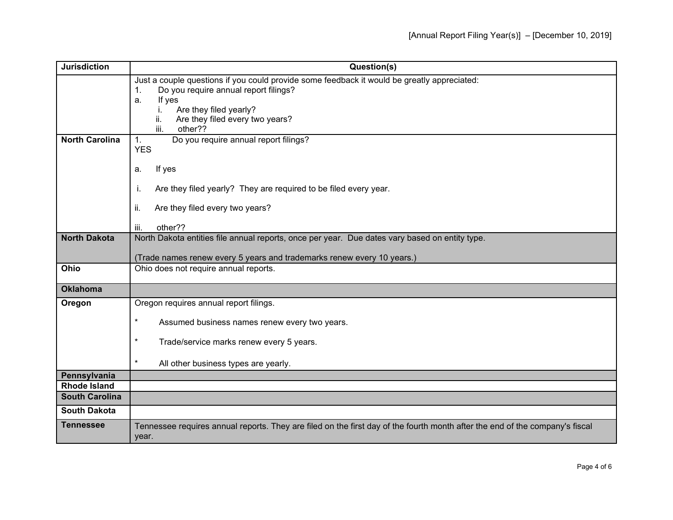| <b>Jurisdiction</b>   | Question(s)                                                                                                                                            |
|-----------------------|--------------------------------------------------------------------------------------------------------------------------------------------------------|
|                       | Just a couple questions if you could provide some feedback it would be greatly appreciated:<br>Do you require annual report filings?<br>$\mathbf{1}$ . |
|                       | If yes<br>a.                                                                                                                                           |
|                       | Are they filed yearly?                                                                                                                                 |
|                       | Are they filed every two years?<br>ii.                                                                                                                 |
|                       | iii.<br>other??                                                                                                                                        |
| <b>North Carolina</b> | Do you require annual report filings?<br>1.                                                                                                            |
|                       | <b>YES</b>                                                                                                                                             |
|                       | If yes<br>a.                                                                                                                                           |
|                       |                                                                                                                                                        |
|                       | Are they filed yearly? They are required to be filed every year.<br>Τ.                                                                                 |
|                       | Are they filed every two years?<br>ii.                                                                                                                 |
|                       | other??<br>iii.                                                                                                                                        |
| <b>North Dakota</b>   | North Dakota entities file annual reports, once per year. Due dates vary based on entity type.                                                         |
|                       |                                                                                                                                                        |
|                       | (Trade names renew every 5 years and trademarks renew every 10 years.)                                                                                 |
| Ohio                  | Ohio does not require annual reports.                                                                                                                  |
| <b>Oklahoma</b>       |                                                                                                                                                        |
| Oregon                | Oregon requires annual report filings.                                                                                                                 |
|                       | $\star$                                                                                                                                                |
|                       | Assumed business names renew every two years.                                                                                                          |
|                       | $^\star$<br>Trade/service marks renew every 5 years.                                                                                                   |
|                       |                                                                                                                                                        |
|                       | $\star$<br>All other business types are yearly.                                                                                                        |
| Pennsylvania          |                                                                                                                                                        |
| <b>Rhode Island</b>   |                                                                                                                                                        |
| <b>South Carolina</b> |                                                                                                                                                        |
| <b>South Dakota</b>   |                                                                                                                                                        |
| <b>Tennessee</b>      | Tennessee requires annual reports. They are filed on the first day of the fourth month after the end of the company's fiscal                           |
|                       | year.                                                                                                                                                  |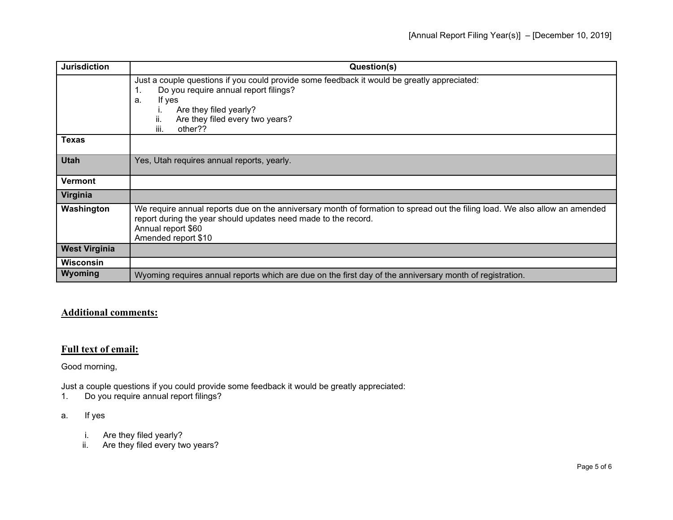| <b>Jurisdiction</b>  | Question(s)                                                                                                                                                                                                                                 |
|----------------------|---------------------------------------------------------------------------------------------------------------------------------------------------------------------------------------------------------------------------------------------|
|                      | Just a couple questions if you could provide some feedback it would be greatly appreciated:<br>Do you require annual report filings?<br>If yes<br>a.<br>Are they filed yearly?<br>Are they filed every two years?<br>ii.<br>iii.<br>other?? |
| <b>Texas</b>         |                                                                                                                                                                                                                                             |
| <b>Utah</b>          | Yes, Utah requires annual reports, yearly.                                                                                                                                                                                                  |
| <b>Vermont</b>       |                                                                                                                                                                                                                                             |
| Virginia             |                                                                                                                                                                                                                                             |
| Washington           | We require annual reports due on the anniversary month of formation to spread out the filing load. We also allow an amended<br>report during the year should updates need made to the record.<br>Annual report \$60<br>Amended report \$10  |
| <b>West Virginia</b> |                                                                                                                                                                                                                                             |
| Wisconsin            |                                                                                                                                                                                                                                             |
| Wyoming              | Wyoming requires annual reports which are due on the first day of the anniversary month of registration.                                                                                                                                    |

## **Additional comments:**

### **Full text of email:**

Good morning,

Just a couple questions if you could provide some feedback it would be greatly appreciated:

Do you require annual report filings?

#### a. If yes

- i. Are they filed yearly?
- ii. Are they filed every two years?